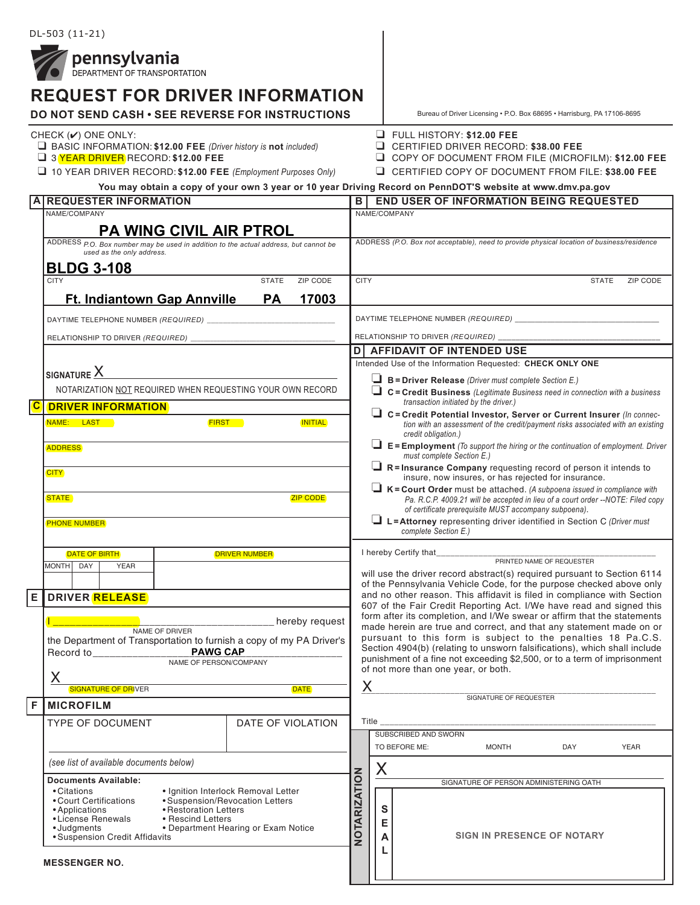**pennsylvania**<br>**DEPARTMENT OF TRANSPORTATION** 

|                                                                                                                                                                                                                                                                 | <b>REQUEST FOR DRIVER INFORMATION</b>                                                                                                                                                                              |                                                |                                                                                                                                                  |                                                                                                                                                                                                                                                                                                     | Bureau of Driver Licensing . P.O. Box 68695 . Harrisburg, PA 17106-8695                                                                                                               |  |  |
|-----------------------------------------------------------------------------------------------------------------------------------------------------------------------------------------------------------------------------------------------------------------|--------------------------------------------------------------------------------------------------------------------------------------------------------------------------------------------------------------------|------------------------------------------------|--------------------------------------------------------------------------------------------------------------------------------------------------|-----------------------------------------------------------------------------------------------------------------------------------------------------------------------------------------------------------------------------------------------------------------------------------------------------|---------------------------------------------------------------------------------------------------------------------------------------------------------------------------------------|--|--|
| <b>DO NOT SEND CASH • SEE REVERSE FOR INSTRUCTIONS</b><br>CHECK $(V)$ ONE ONLY:<br>$\Box$ BASIC INFORMATION: \$12.00 FEE (Driver history is not included)<br>3 YEAR DRIVER RECORD: \$12.00 FEE<br>10 YEAR DRIVER RECORD: \$12.00 FEE (Employment Purposes Only) |                                                                                                                                                                                                                    |                                                |                                                                                                                                                  | $\Box$ FULL HISTORY: \$12.00 FEE<br>C CERTIFIED DRIVER RECORD: \$38.00 FEE<br>COPY OF DOCUMENT FROM FILE (MICROFILM): \$12.00 FEE<br>CERTIFIED COPY OF DOCUMENT FROM FILE: \$38.00 FEE<br>You may obtain a copy of your own 3 year or 10 year Driving Record on PennDOT'S website at www.dmv.pa.gov |                                                                                                                                                                                       |  |  |
| A                                                                                                                                                                                                                                                               | <b>REQUESTER INFORMATION</b>                                                                                                                                                                                       |                                                |                                                                                                                                                  | <b>END USER OF INFORMATION BEING REQUESTED</b><br>в                                                                                                                                                                                                                                                 |                                                                                                                                                                                       |  |  |
|                                                                                                                                                                                                                                                                 | NAME/COMPANY                                                                                                                                                                                                       |                                                |                                                                                                                                                  |                                                                                                                                                                                                                                                                                                     | NAME/COMPANY                                                                                                                                                                          |  |  |
|                                                                                                                                                                                                                                                                 |                                                                                                                                                                                                                    |                                                |                                                                                                                                                  |                                                                                                                                                                                                                                                                                                     |                                                                                                                                                                                       |  |  |
|                                                                                                                                                                                                                                                                 | <b>PA WING CIVIL AIR PTROL</b><br>ADDRESS P.O. Box number may be used in addition to the actual address, but cannot be<br>used as the only address.                                                                |                                                | ADDRESS (P.O. Box not acceptable), need to provide physical location of business/residence                                                       |                                                                                                                                                                                                                                                                                                     |                                                                                                                                                                                       |  |  |
|                                                                                                                                                                                                                                                                 | <b>BLDG 3-108</b>                                                                                                                                                                                                  |                                                |                                                                                                                                                  |                                                                                                                                                                                                                                                                                                     |                                                                                                                                                                                       |  |  |
|                                                                                                                                                                                                                                                                 | <b>CITY</b><br><b>Ft. Indiantown Gap Annville</b>                                                                                                                                                                  | <b>STATE</b><br>ZIP CODE<br>17003<br><b>PA</b> | <b>CITY</b>                                                                                                                                      |                                                                                                                                                                                                                                                                                                     | <b>STATE</b><br>ZIP CODE                                                                                                                                                              |  |  |
|                                                                                                                                                                                                                                                                 |                                                                                                                                                                                                                    |                                                |                                                                                                                                                  |                                                                                                                                                                                                                                                                                                     |                                                                                                                                                                                       |  |  |
|                                                                                                                                                                                                                                                                 | DAYTIME TELEPHONE NUMBER (REQUIRED) _________________________                                                                                                                                                      |                                                |                                                                                                                                                  |                                                                                                                                                                                                                                                                                                     |                                                                                                                                                                                       |  |  |
|                                                                                                                                                                                                                                                                 |                                                                                                                                                                                                                    |                                                |                                                                                                                                                  | <b>D</b> AFFIDAVIT OF INTENDED USE                                                                                                                                                                                                                                                                  |                                                                                                                                                                                       |  |  |
|                                                                                                                                                                                                                                                                 |                                                                                                                                                                                                                    |                                                |                                                                                                                                                  | Intended Use of the Information Requested: CHECK ONLY ONE                                                                                                                                                                                                                                           |                                                                                                                                                                                       |  |  |
|                                                                                                                                                                                                                                                                 | $_{\sf SIGNATURE}$ $\times$                                                                                                                                                                                        |                                                | $\Box$ B = Driver Release (Driver must complete Section E.)                                                                                      |                                                                                                                                                                                                                                                                                                     |                                                                                                                                                                                       |  |  |
|                                                                                                                                                                                                                                                                 | NOTARIZATION NOT REQUIRED WHEN REQUESTING YOUR OWN RECORD                                                                                                                                                          |                                                |                                                                                                                                                  | $\Box$ C = Credit Business (Legitimate Business need in connection with a business                                                                                                                                                                                                                  |                                                                                                                                                                                       |  |  |
| $\overline{\text{c}}$                                                                                                                                                                                                                                           | <b>DRIVER INFORMATION</b>                                                                                                                                                                                          |                                                |                                                                                                                                                  |                                                                                                                                                                                                                                                                                                     | transaction initiated by the driver.)                                                                                                                                                 |  |  |
|                                                                                                                                                                                                                                                                 | <b>FIRST</b><br>NAME: LAST                                                                                                                                                                                         | <b>INITIAL</b>                                 |                                                                                                                                                  |                                                                                                                                                                                                                                                                                                     | $\Box$ C = Credit Potential Investor, Server or Current Insurer (In connec-<br>tion with an assessment of the credit/payment risks associated with an existing<br>credit obligation.) |  |  |
|                                                                                                                                                                                                                                                                 | <b>ADDRESS</b>                                                                                                                                                                                                     |                                                |                                                                                                                                                  |                                                                                                                                                                                                                                                                                                     | $\Box$ E = Employment (To support the hiring or the continuation of employment. Driver<br>must complete Section E.)                                                                   |  |  |
|                                                                                                                                                                                                                                                                 | <b>CITY</b><br><b>STATE</b><br><b>ZIP CODE</b><br><b>PHONE NUMBER</b>                                                                                                                                              |                                                |                                                                                                                                                  | $\Box$ R = Insurance Company requesting record of person it intends to<br>insure, now insures, or has rejected for insurance.<br>$\Box K =$ Court Order must be attached. (A subpoena issued in compliance with                                                                                     |                                                                                                                                                                                       |  |  |
|                                                                                                                                                                                                                                                                 |                                                                                                                                                                                                                    |                                                |                                                                                                                                                  | Pa. R.C.P. 4009.21 will be accepted in lieu of a court order --NOTE: Filed copy<br>of certificate prerequisite MUST accompany subpoena).                                                                                                                                                            |                                                                                                                                                                                       |  |  |
|                                                                                                                                                                                                                                                                 |                                                                                                                                                                                                                    |                                                |                                                                                                                                                  | $\Box$ L=Attorney representing driver identified in Section C (Driver must<br>complete Section E.)                                                                                                                                                                                                  |                                                                                                                                                                                       |  |  |
|                                                                                                                                                                                                                                                                 | <b>DRIVER NUMBER</b><br><b>DATE OF BIRTH</b>                                                                                                                                                                       |                                                |                                                                                                                                                  | I hereby Certify that____                                                                                                                                                                                                                                                                           |                                                                                                                                                                                       |  |  |
|                                                                                                                                                                                                                                                                 | <b>MONTH</b><br>DAY<br><b>YEAR</b>                                                                                                                                                                                 |                                                | PRINTED NAME OF REQUESTER                                                                                                                        |                                                                                                                                                                                                                                                                                                     |                                                                                                                                                                                       |  |  |
|                                                                                                                                                                                                                                                                 |                                                                                                                                                                                                                    |                                                | will use the driver record abstract(s) required pursuant to Section 6114<br>of the Pennsylvania Vehicle Code, for the purpose checked above only |                                                                                                                                                                                                                                                                                                     |                                                                                                                                                                                       |  |  |
|                                                                                                                                                                                                                                                                 | E DRIVER RELEASE                                                                                                                                                                                                   |                                                |                                                                                                                                                  | and no other reason. This affidavit is filed in compliance with Section                                                                                                                                                                                                                             |                                                                                                                                                                                       |  |  |
|                                                                                                                                                                                                                                                                 |                                                                                                                                                                                                                    |                                                |                                                                                                                                                  |                                                                                                                                                                                                                                                                                                     | 607 of the Fair Credit Reporting Act. I/We have read and signed this                                                                                                                  |  |  |
|                                                                                                                                                                                                                                                                 | hereby request<br>NAME OF DRIVER                                                                                                                                                                                   |                                                |                                                                                                                                                  |                                                                                                                                                                                                                                                                                                     | form after its completion, and I/We swear or affirm that the statements<br>made herein are true and correct, and that any statement made on or                                        |  |  |
|                                                                                                                                                                                                                                                                 | the Department of Transportation to furnish a copy of my PA Driver's                                                                                                                                               |                                                |                                                                                                                                                  | pursuant to this form is subject to the penalties 18 Pa.C.S.                                                                                                                                                                                                                                        |                                                                                                                                                                                       |  |  |
|                                                                                                                                                                                                                                                                 | <b>PAWG CAP</b><br>Record to <b>Record</b>                                                                                                                                                                         |                                                |                                                                                                                                                  |                                                                                                                                                                                                                                                                                                     | Section 4904(b) (relating to unsworn falsifications), which shall include<br>punishment of a fine not exceeding \$2,500, or to a term of imprisonment                                 |  |  |
|                                                                                                                                                                                                                                                                 | NAME OF PERSON/COMPANY                                                                                                                                                                                             |                                                |                                                                                                                                                  |                                                                                                                                                                                                                                                                                                     | of not more than one year, or both.                                                                                                                                                   |  |  |
|                                                                                                                                                                                                                                                                 | Χ                                                                                                                                                                                                                  |                                                | Χ<br>SIGNATURE OF REQUESTER                                                                                                                      |                                                                                                                                                                                                                                                                                                     |                                                                                                                                                                                       |  |  |
|                                                                                                                                                                                                                                                                 | <b>SIGNATURE OF DRIVER</b><br><b>DATE</b>                                                                                                                                                                          |                                                |                                                                                                                                                  |                                                                                                                                                                                                                                                                                                     |                                                                                                                                                                                       |  |  |
| F                                                                                                                                                                                                                                                               | <b>MICROFILM</b>                                                                                                                                                                                                   |                                                |                                                                                                                                                  |                                                                                                                                                                                                                                                                                                     |                                                                                                                                                                                       |  |  |
|                                                                                                                                                                                                                                                                 | <b>TYPE OF DOCUMENT</b>                                                                                                                                                                                            | DATE OF VIOLATION                              |                                                                                                                                                  | Title $\_$                                                                                                                                                                                                                                                                                          | SUBSCRIBED AND SWORN                                                                                                                                                                  |  |  |
|                                                                                                                                                                                                                                                                 |                                                                                                                                                                                                                    |                                                |                                                                                                                                                  |                                                                                                                                                                                                                                                                                                     | TO BEFORE ME:<br>YEAR<br>MONTH<br>DAY                                                                                                                                                 |  |  |
|                                                                                                                                                                                                                                                                 |                                                                                                                                                                                                                    |                                                |                                                                                                                                                  |                                                                                                                                                                                                                                                                                                     |                                                                                                                                                                                       |  |  |
|                                                                                                                                                                                                                                                                 | (see list of available documents below)<br><b>Documents Available:</b><br>· Ignition Interlock Removal Letter<br>• Citations<br>• Court Certifications<br>• Suspension/Revocation Letters<br>• Restoration Letters |                                                |                                                                                                                                                  | X                                                                                                                                                                                                                                                                                                   |                                                                                                                                                                                       |  |  |
|                                                                                                                                                                                                                                                                 |                                                                                                                                                                                                                    |                                                |                                                                                                                                                  |                                                                                                                                                                                                                                                                                                     | SIGNATURE OF PERSON ADMINISTERING OATH                                                                                                                                                |  |  |
|                                                                                                                                                                                                                                                                 |                                                                                                                                                                                                                    |                                                |                                                                                                                                                  |                                                                                                                                                                                                                                                                                                     |                                                                                                                                                                                       |  |  |
|                                                                                                                                                                                                                                                                 | • Applications<br>• License Renewals<br>• Rescind Letters                                                                                                                                                          |                                                | <b>OTARIZATION</b>                                                                                                                               |                                                                                                                                                                                                                                                                                                     | S<br>Е                                                                                                                                                                                |  |  |
|                                                                                                                                                                                                                                                                 | • Judgments<br>• Suspension Credit Affidavits                                                                                                                                                                      | • Department Hearing or Exam Notice            |                                                                                                                                                  |                                                                                                                                                                                                                                                                                                     | <b>SIGN IN PRESENCE OF NOTARY</b>                                                                                                                                                     |  |  |

**A L**